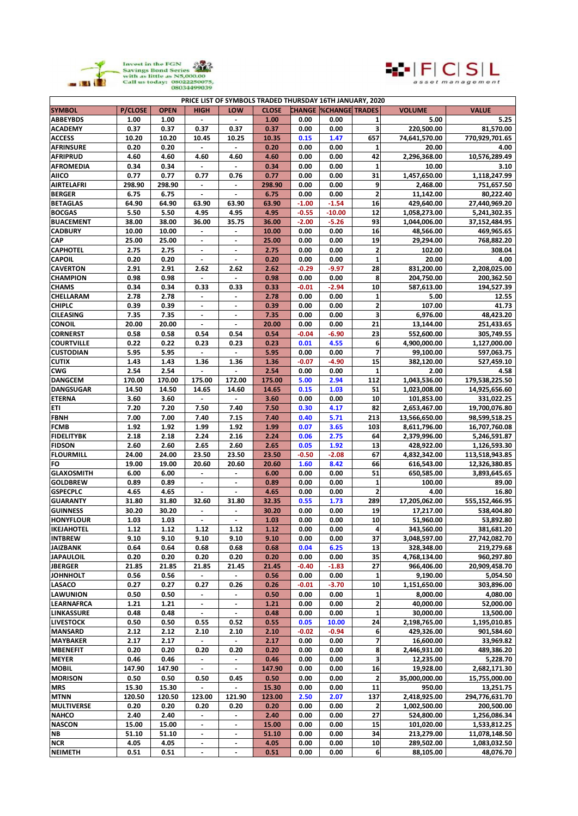



| PRICE LIST OF SYMBOLS TRADED THURSDAY 16TH JANUARY, 2020 |                |             |                          |                          |              |         |                               |                         |               |                |
|----------------------------------------------------------|----------------|-------------|--------------------------|--------------------------|--------------|---------|-------------------------------|-------------------------|---------------|----------------|
| <b>SYMBOL</b>                                            | <b>P/CLOSE</b> | <b>OPEN</b> | HIGH                     | LOW                      | <b>CLOSE</b> |         | <b>CHANGE  %CHANGE TRADES</b> |                         | <b>VOLUME</b> | <b>VALUE</b>   |
| <b>ABBEYBDS</b>                                          | 1.00           | 1.00        |                          |                          | 1.00         | 0.00    | 0.00                          | 1                       | 5.00          | 5.25           |
| <b>ACADEMY</b>                                           | 0.37           | 0.37        | 0.37                     | 0.37                     | 0.37         | 0.00    | 0.00                          | 3                       | 220,500.00    | 81,570.00      |
| <b>ACCESS</b>                                            | 10.20          | 10.20       | 10.45                    | 10.25                    | 10.35        | 0.15    | 1.47                          | 657                     | 74,641,570.00 | 770,929,701.65 |
| <b>AFRINSURE</b>                                         | 0.20           | 0.20        | $\blacksquare$           |                          | 0.20         | 0.00    | 0.00                          | 1                       | 20.00         | 4.00           |
| <b>AFRIPRUD</b>                                          | 4.60           | 4.60        | 4.60                     | 4.60                     | 4.60         | 0.00    | 0.00                          | 42                      | 2,296,368.00  | 10,576,289.49  |
| AFROMEDIA                                                | 0.34           | 0.34        |                          |                          | 0.34         | 0.00    | 0.00                          | $\mathbf{1}$            | 10.00         | 3.10           |
| <b>AIICO</b>                                             | 0.77           | 0.77        | 0.77                     | 0.76                     | 0.77         | 0.00    | 0.00                          | 31                      | 1,457,650.00  | 1,118,247.99   |
| <b>AIRTELAFRI</b>                                        | 298.90         | 298.90      | $\overline{\phantom{a}}$ | $\blacksquare$           | 298.90       | 0.00    | 0.00                          | 9                       | 2,468.00      | 751,657.50     |
| <b>BERGER</b>                                            | 6.75           | 6.75        | $\overline{\phantom{a}}$ | $\blacksquare$           | 6.75         | 0.00    | 0.00                          | $\overline{\mathbf{2}}$ | 11,142.00     | 80,222.40      |
| <b>BETAGLAS</b>                                          | 64.90          | 64.90       | 63.90                    | 63.90                    | 63.90        | $-1.00$ | $-1.54$                       | 16                      | 429,640.00    | 27,440,969.20  |
| <b>BOCGAS</b>                                            | 5.50           | 5.50        | 4.95                     | 4.95                     | 4.95         | $-0.55$ | $-10.00$                      | 12                      | 1,058,273.00  | 5,241,302.35   |
| <b>BUACEMENT</b>                                         | 38.00          | 38.00       |                          |                          | 36.00        | $-2.00$ | $-5.26$                       | 93                      | 1,044,006.00  |                |
| <b>CADBURY</b>                                           |                |             | 36.00                    | 35.75                    |              |         |                               |                         |               | 37,152,484.95  |
|                                                          | 10.00          | 10.00       | $\blacksquare$           | $\blacksquare$           | 10.00        | 0.00    | 0.00                          | 16                      | 48,566.00     | 469,965.65     |
| CAP                                                      | 25.00          | 25.00       |                          | $\blacksquare$           | 25.00        | 0.00    | 0.00                          | 19                      | 29,294.00     | 768,882.20     |
| <b>CAPHOTEL</b>                                          | 2.75           | 2.75        | $\overline{\phantom{a}}$ | $\overline{\phantom{a}}$ | 2.75         | 0.00    | 0.00                          | $\overline{\mathbf{2}}$ | 102.00        | 308.04         |
| <b>CAPOIL</b>                                            | 0.20           | 0.20        |                          |                          | 0.20         | 0.00    | 0.00                          | $\mathbf{1}$            | 20.00         | 4.00           |
| <b>CAVERTON</b>                                          | 2.91           | 2.91        | 2.62                     | 2.62                     | 2.62         | $-0.29$ | $-9.97$                       | 28                      | 831,200.00    | 2,208,025.00   |
| <b>CHAMPION</b>                                          | 0.98           | 0.98        | $\blacksquare$           | $\blacksquare$           | 0.98         | 0.00    | 0.00                          | 8                       | 204,750.00    | 200,362.50     |
| <b>CHAMS</b>                                             | 0.34           | 0.34        | 0.33                     | 0.33                     | 0.33         | $-0.01$ | $-2.94$                       | 10                      | 587,613.00    | 194,527.39     |
| CHELLARAM                                                | 2.78           | 2.78        | $\overline{\phantom{a}}$ |                          | 2.78         | 0.00    | 0.00                          | $\mathbf{1}$            | 5.00          | 12.55          |
| <b>CHIPLC</b>                                            | 0.39           | 0.39        |                          |                          | 0.39         | 0.00    | 0.00                          | $\overline{\mathbf{2}}$ | 107.00        | 41.73          |
| <b>CILEASING</b>                                         | 7.35           | 7.35        | $\overline{\phantom{a}}$ | $\overline{\phantom{a}}$ | 7.35         | 0.00    | 0.00                          | 3                       | 6,976.00      | 48,423.20      |
| <b>CONOIL</b>                                            | 20.00          | 20.00       | $\overline{\phantom{a}}$ | $\blacksquare$           | 20.00        | 0.00    | 0.00                          | 21                      | 13,144.00     | 251,433.65     |
| <b>CORNERST</b>                                          | 0.58           | 0.58        | 0.54                     | 0.54                     | 0.54         | $-0.04$ | $-6.90$                       | 23                      | 552,600.00    | 305,749.55     |
| <b>COURTVILLE</b>                                        | 0.22           | 0.22        | 0.23                     | 0.23                     | 0.23         | 0.01    | 4.55                          | 6                       | 4,900,000.00  | 1,127,000.00   |
| <b>CUSTODIAN</b>                                         | 5.95           | 5.95        |                          |                          | 5.95         | 0.00    | 0.00                          | $\overline{7}$          | 99,100.00     | 597,063.75     |
| <b>CUTIX</b>                                             | 1.43           | 1.43        | 1.36                     | 1.36                     | 1.36         | $-0.07$ | $-4.90$                       | 15                      | 382.120.00    | 527,459.10     |
| CWG                                                      | 2.54           | 2.54        | $\blacksquare$           | $\blacksquare$           | 2.54         | 0.00    | 0.00                          | 1                       | 2.00          | 4.58           |
| <b>DANGCEM</b>                                           | 170.00         | 170.00      | 175.00                   | 172.00                   | 175.00       | 5.00    | 2.94                          | 112                     | 1,043,536.00  | 179,538,225.50 |
| <b>DANGSUGAR</b>                                         | 14.50          | 14.50       | 14.65                    | 14.60                    | 14.65        | 0.15    | 1.03                          | 51                      | 1,023,008.00  | 14,925,656.60  |
| <b>ETERNA</b>                                            | 3.60           | 3.60        |                          |                          | 3.60         | 0.00    | 0.00                          | 10                      | 101,853.00    | 331,022.25     |
| ETI                                                      | 7.20           | 7.20        | 7.50                     | 7.40                     | 7.50         | 0.30    | 4.17                          | 82                      |               |                |
|                                                          | 7.00           |             |                          |                          | 7.40         |         |                               | 213                     | 2,653,467.00  | 19,700,076.80  |
| FBNH                                                     |                | 7.00        | 7.40                     | 7.15                     |              | 0.40    | 5.71                          |                         | 13,566,650.00 | 98,599,518.25  |
| <b>FCMB</b>                                              | 1.92           | 1.92        | 1.99                     | 1.92                     | 1.99         | 0.07    | 3.65                          | 103                     | 8,611,796.00  | 16,707,760.08  |
| <b>FIDELITYBK</b>                                        | 2.18           | 2.18        | 2.24                     | 2.16                     | 2.24         | 0.06    | 2.75                          | 64                      | 2,379,996.00  | 5,246,591.87   |
| <b>FIDSON</b>                                            | 2.60           | 2.60        | 2.65                     | 2.60                     | 2.65         | 0.05    | 1.92                          | 13                      | 428,922.00    | 1,126,593.30   |
| <b>FLOURMILL</b>                                         | 24.00          | 24.00       | 23.50                    | 23.50                    | 23.50        | $-0.50$ | $-2.08$                       | 67                      | 4,832,342.00  | 113,518,943.85 |
| FO                                                       | 19.00          | 19.00       | 20.60                    | 20.60                    | 20.60        | 1.60    | 8.42                          | 66                      | 616,543.00    | 12,326,380.85  |
| <b>GLAXOSMITH</b>                                        | 6.00           | 6.00        | $\blacksquare$           | $\overline{\phantom{a}}$ | 6.00         | 0.00    | 0.00                          | 51                      | 650,585.00    | 3,893,645.65   |
| <b>GOLDBREW</b>                                          | 0.89           | 0.89        | $\overline{\phantom{a}}$ | $\overline{\phantom{a}}$ | 0.89         | 0.00    | 0.00                          | 1                       | 100.00        | 89.00          |
| <b>GSPECPLC</b>                                          | 4.65           | 4.65        |                          |                          | 4.65         | 0.00    | 0.00                          | $\overline{a}$          | 4.00          | 16.80          |
| <b>GUARANTY</b>                                          | 31.80          | 31.80       | 32.60                    | 31.80                    | 32.35        | 0.55    | 1.73                          | 289                     | 17,205,062.00 | 555,152,466.95 |
| <b>GUINNESS</b>                                          | 30.20          | 30.20       | $\blacksquare$           | $\blacksquare$           | 30.20        | 0.00    | 0.00                          | 19                      | 17,217.00     | 538,404.80     |
| <b>HONYFLOUR</b>                                         | 1.03           | 1.03        | $\overline{\phantom{a}}$ | $\overline{\phantom{a}}$ | 1.03         | 0.00    | 0.00                          | 10                      | 51,960.00     | 53,892.80      |
| <b>IKEJAHOTEL</b>                                        | 1.12           | 1.12        | 1.12                     | 1.12                     | 1.12         | 0.00    | 0.00                          | $\overline{4}$          | 343,560.00    | 381,681.20     |
| <b>INTBREW</b>                                           | 9.10           | 9.10        | 9.10                     | 9.10                     | 9.10         | 0.00    | 0.00                          | 37                      | 3,048,597.00  | 27,742,082.70  |
| <b>JAIZBANK</b>                                          | 0.64           | 0.64        | 0.68                     | 0.68                     | 0.68         | 0.04    | 6.25                          | 13                      | 328,348.00    | 219,279.68     |
| <b>JAPAULOIL</b>                                         | 0.20           | 0.20        | 0.20                     | 0.20                     | 0.20         | 0.00    | 0.00                          | 35                      | 4,768,134.00  | 960,297.80     |
| <b>JBERGER</b>                                           | 21.85          | 21.85       | 21.85                    | 21.45                    | 21.45        | $-0.40$ | $-1.83$                       | 27                      | 966,406.00    | 20,909,458.70  |
| <b>JOHNHOLT</b>                                          | 0.56           | 0.56        |                          |                          | 0.56         | 0.00    | 0.00                          | 1                       | 9,190.00      | 5,054.50       |
| LASACO                                                   | 0.27           | 0.27        | 0.27                     | 0.26                     | 0.26         | $-0.01$ | $-3.70$                       | 10                      | 1,151,650.00  | 303,896.00     |
| LAWUNION                                                 | 0.50           | 0.50        | $\overline{\phantom{a}}$ | $\overline{\phantom{a}}$ | 0.50         | 0.00    | 0.00                          | 1                       | 8,000.00      | 4,080.00       |
| LEARNAFRCA                                               | 1.21           | 1.21        | $\blacksquare$           | $\blacksquare$           | 1.21         | 0.00    | 0.00                          | $\mathbf 2$             | 40,000.00     | 52,000.00      |
| LINKASSURE                                               | 0.48           | 0.48        | $\blacksquare$           | $\blacksquare$           | 0.48         | 0.00    | 0.00                          | $\mathbf 1$             | 30,000.00     | 13,500.00      |
| <b>LIVESTOCK</b>                                         | 0.50           | 0.50        | 0.55                     | 0.52                     | 0.55         | 0.05    | 10.00                         | 24                      | 2,198,765.00  | 1,195,010.85   |
| MANSARD                                                  | 2.12           | 2.12        | 2.10                     | 2.10                     | 2.10         | $-0.02$ | $-0.94$                       | 6                       | 429,326.00    | 901,584.60     |
| <b>MAYBAKER</b>                                          | 2.17           | 2.17        | $\blacksquare$           | $\blacksquare$           | 2.17         | 0.00    | 0.00                          | 7                       | 16,600.00     | 33,969.82      |
|                                                          |                |             |                          |                          |              |         |                               |                         |               |                |
| <b>MBENEFIT</b>                                          | 0.20           | 0.20        | 0.20                     | 0.20                     | 0.20         | 0.00    | 0.00                          | 8                       | 2,446,931.00  | 489,386.20     |
| <b>MEYER</b>                                             | 0.46           | 0.46        | $\blacksquare$           | $\blacksquare$           | 0.46         | 0.00    | 0.00                          | 3                       | 12,235.00     | 5,228.70       |
| <b>MOBIL</b>                                             | 147.90         | 147.90      | $\overline{\phantom{a}}$ | $\overline{\phantom{a}}$ | 147.90       | 0.00    | 0.00                          | 16                      | 19,928.00     | 2,682,171.30   |
| <b>MORISON</b>                                           | 0.50           | 0.50        | 0.50                     | 0.45                     | 0.50         | 0.00    | 0.00                          | $\mathbf{2}$            | 35,000,000.00 | 15,755,000.00  |
| MRS                                                      | 15.30          | 15.30       | $\overline{\phantom{a}}$ |                          | 15.30        | 0.00    | 0.00                          | 11                      | 950.00        | 13,251.75      |
| MTNN                                                     | 120.50         | 120.50      | 123.00                   | 121.90                   | 123.00       | 2.50    | 2.07                          | 137                     | 2,418,925.00  | 294,776,631.70 |
| <b>MULTIVERSE</b>                                        | 0.20           | 0.20        | 0.20                     | 0.20                     | 0.20         | 0.00    | 0.00                          | 2                       | 1,002,500.00  | 200,500.00     |
| <b>NAHCO</b>                                             | 2.40           | 2.40        |                          |                          | 2.40         | 0.00    | 0.00                          | 27                      | 524,800.00    | 1,256,086.34   |
| <b>NASCON</b>                                            | 15.00          | 15.00       |                          |                          | 15.00        | 0.00    | 0.00                          | 15                      | 101,020.00    | 1,533,812.25   |
| NΒ                                                       | 51.10          | 51.10       | $\blacksquare$           | $\overline{\phantom{a}}$ | 51.10        | 0.00    | 0.00                          | 34                      | 213,279.00    | 11,078,148.50  |
| <b>NCR</b>                                               | 4.05           | 4.05        | $\blacksquare$           | $\blacksquare$           | 4.05         | 0.00    | 0.00                          | 10                      | 289,502.00    | 1,083,032.50   |
| NEIMETH                                                  | 0.51           | 0.51        | $\blacksquare$           | $\blacksquare$           | 0.51         | 0.00    | 0.00                          | 6                       | 88,105.00     | 48,076.70      |